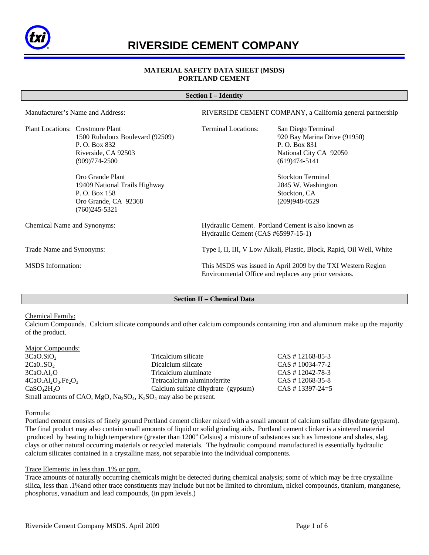

# **RIVERSIDE CEMENT COMPANY**

# **MATERIAL SAFETY DATA SHEET (MSDS) PORTLAND CEMENT**

#### **Section I – Identity**

Manufacturer's Name and Address: RIVERSIDE CEMENT COMPANY, a California general partnership

Plant Locations: Crestmore Plant Terminal Locations: San Diego Terminal 1500 Rubidoux Boulevard (92509) 920 Bay Marina Drive (91950) P. O. Box 832 P. O. Box 831 Riverside, CA 92503 National City CA 92050 (909)774-2500 (619)474-5141

> Oro Grande Plant Stockton Terminal 19409 National Trails Highway 2845 W. Washington P. O. Box 158 Stockton, CA Oro Grande, CA 92368 (209)948-0529 (760)245-5321

Chemical Name and Synonyms: Hydraulic Cement. Portland Cement is also known as Hydraulic Cement (CAS #65997-15-1)

Trade Name and Synonyms: Type I, II, III, V Low Alkali, Plastic, Block, Rapid, Oil Well, White

MSDS Information: This MSDS was issued in April 2009 by the TXI Western Region Environmental Office and replaces any prior versions.

## **Section II – Chemical Data**

Chemical Family:

Calcium Compounds. Calcium silicate compounds and other calcium compounds containing iron and aluminum make up the majority of the product.

Major Compounds:

3CaO.SiO2 Tricalcium silicate CAS # 12168-85-3  $2Ca0.SO<sub>2</sub>$  Dicalcium silicate CAS # 10034-77-2 3CaO.Al<sub>2</sub>O<br>4CaO.Al<sub>2</sub>O<sub>3</sub>.Fe<sub>2</sub>O<sub>3</sub> *Tricalcium aluminate* CAS # 12042-78-3<br>Tetracalcium aluminoferrite CAS # 12068-35-8  $4CaO.AI<sub>2</sub>O<sub>3</sub>.Fe<sub>2</sub>O<sub>3</sub>$ <br>CaSO<sub>4</sub>2H<sub>2</sub>O<br>CaSO<sub>4</sub>2H<sub>2</sub>O<br>CaSO<sub>4</sub>2H<sub>2</sub>O<br>CaS<sub>4</sub> 13397-24=5 Calcium sulfate dihydrate (gypsum) Small amounts of CAO, MgO,  $Na<sub>2</sub>SO<sub>4</sub>$ , K<sub>2</sub>SO<sub>4</sub> may also be present.

Formula:

Portland cement consists of finely ground Portland cement clinker mixed with a small amount of calcium sulfate dihydrate (gypsum). The final product may also contain small amounts of liquid or solid grinding aids. Portland cement clinker is a sintered material produced by heating to high temperature (greater than 1200° Celsius) a mixture of substances such as limestone and shales, slag, clays or other natural occurring materials or recycled materials. The hydraulic compound manufactured is essentially hydraulic calcium silicates contained in a crystalline mass, not separable into the individual components.

## Trace Elements: in less than .1% or ppm.

Trace amounts of naturally occurring chemicals might be detected during chemical analysis; some of which may be free crystalline silica, less than .1%and other trace constituents may include but not be limited to chromium, nickel compounds, titanium, manganese, phosphorus, vanadium and lead compounds, (in ppm levels.)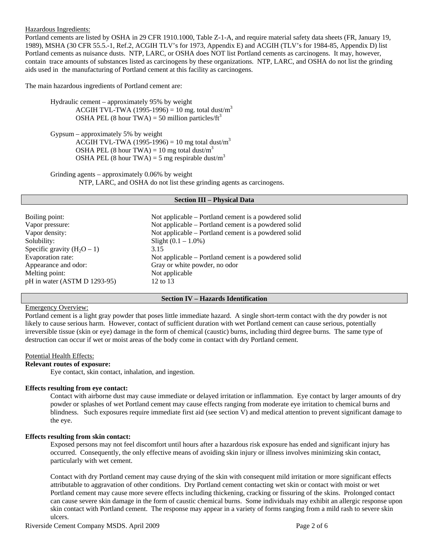Hazardous Ingredients:

Portland cements are listed by OSHA in 29 CFR 1910.1000, Table Z-1-A, and require material safety data sheets (FR, January 19, 1989), MSHA (30 CFR 55.5.-1, Ref.2, ACGIH TLV's for 1973, Appendix E) and ACGIH (TLV's for 1984-85, Appendix D) list Portland cements as nuisance dusts. NTP, LARC, or OSHA does NOT list Portland cements as carcinogens. It may, however, contain trace amounts of substances listed as carcinogens by these organizations. NTP, LARC, and OSHA do not list the grinding aids used in the manufacturing of Portland cement at this facility as carcinogens.

The main hazardous ingredients of Portland cement are:

 Hydraulic cement – approximately 95% by weight ACGIH TVL-TWA (1995-1996) = 10 mg. total dust/m<sup>3</sup> OSHA PEL (8 hour TWA) = 50 million particles/ $ft<sup>3</sup>$ 

 Gypsum – approximately 5% by weight ACGIH TVL-TWA (1995-1996) = 10 mg total dust/m<sup>3</sup> OSHA PEL (8 hour TWA) = 10 mg total dust/m<sup>3</sup> OSHA PEL (8 hour TWA) = 5 mg respirable dust/m<sup>3</sup>

Grinding agents – approximately 0.06% by weight NTP, LARC, and OSHA do not list these grinding agents as carcinogens.

## **Section III – Physical Data**

| Boiling point:                | Not applicable – Portland cement is a powdered solid |
|-------------------------------|------------------------------------------------------|
| Vapor pressure:               | Not applicable – Portland cement is a powdered solid |
| Vapor density:                | Not applicable – Portland cement is a powdered solid |
| Solubility:                   | Slight $(0.1 - 1.0\%)$                               |
| Specific gravity $(H_2O - 1)$ | 3.15                                                 |
| Evaporation rate:             | Not applicable – Portland cement is a powdered solid |
| Appearance and odor:          | Gray or white powder, no odor                        |
| Melting point:                | Not applicable                                       |
| pH in water (ASTM D 1293-95)  | 12 to 13                                             |

## **Section IV – Hazards Identification**

# Emergency Overview:

Portland cement is a light gray powder that poses little immediate hazard. A single short-term contact with the dry powder is not likely to cause serious harm. However, contact of sufficient duration with wet Portland cement can cause serious, potentially irreversible tissue (skin or eye) damage in the form of chemical (caustic) burns, including third degree burns. The same type of destruction can occur if wet or moist areas of the body come in contact with dry Portland cement.

## Potential Health Effects:

## **Relevant routes of exposure:**

Eye contact, skin contact, inhalation, and ingestion.

## **Effects resulting from eye contact:**

 Contact with airborne dust may cause immediate or delayed irritation or inflammation. Eye contact by larger amounts of dry powder or splashes of wet Portland cement may cause effects ranging from moderate eye irritation to chemical burns and blindness. Such exposures require immediate first aid (see section V) and medical attention to prevent significant damage to the eye.

#### **Effects resulting from skin contact:**

Exposed persons may not feel discomfort until hours after a hazardous risk exposure has ended and significant injury has occurred. Consequently, the only effective means of avoiding skin injury or illness involves minimizing skin contact, particularly with wet cement.

 Contact with dry Portland cement may cause drying of the skin with consequent mild irritation or more significant effects attributable to aggravation of other conditions. Dry Portland cement contacting wet skin or contact with moist or wet Portland cement may cause more severe effects including thickening, cracking or fissuring of the skins. Prolonged contact can cause severe skin damage in the form of caustic chemical burns. Some individuals may exhibit an allergic response upon skin contact with Portland cement. The response may appear in a variety of forms ranging from a mild rash to severe skin ulcers.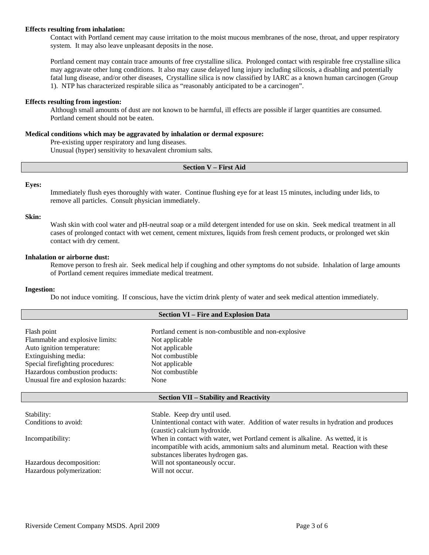## **Effects resulting from inhalation:**

Contact with Portland cement may cause irritation to the moist mucous membranes of the nose, throat, and upper respiratory system. It may also leave unpleasant deposits in the nose.

 Portland cement may contain trace amounts of free crystalline silica. Prolonged contact with respirable free crystalline silica may aggravate other lung conditions. It also may cause delayed lung injury including silicosis, a disabling and potentially fatal lung disease, and/or other diseases, Crystalline silica is now classified by IARC as a known human carcinogen (Group 1). NTP has characterized respirable silica as "reasonably anticipated to be a carcinogen".

## **Effects resulting from ingestion:**

 Although small amounts of dust are not known to be harmful, ill effects are possible if larger quantities are consumed. Portland cement should not be eaten.

## **Medical conditions which may be aggravated by inhalation or dermal exposure:**

Pre-existing upper respiratory and lung diseases.

Unusual (hyper) sensitivity to hexavalent chromium salts.

## **Section V – First Aid**

## **Eyes:**

Immediately flush eyes thoroughly with water. Continue flushing eye for at least 15 minutes, including under lids, to remove all particles. Consult physician immediately.

## **Skin:**

Wash skin with cool water and pH-neutral soap or a mild detergent intended for use on skin. Seek medical treatment in all cases of prolonged contact with wet cement, cement mixtures, liquids from fresh cement products, or prolonged wet skin contact with dry cement.

#### **Inhalation or airborne dust:**

 Remove person to fresh air. Seek medical help if coughing and other symptoms do not subside. Inhalation of large amounts of Portland cement requires immediate medical treatment.

#### **Ingestion:**

Do not induce vomiting. If conscious, have the victim drink plenty of water and seek medical attention immediately.

| <b>Section VI - Fire and Explosion Data</b>   |                                                                                       |  |
|-----------------------------------------------|---------------------------------------------------------------------------------------|--|
|                                               |                                                                                       |  |
| Flash point                                   | Portland cement is non-combustible and non-explosive                                  |  |
| Flammable and explosive limits:               | Not applicable                                                                        |  |
| Auto ignition temperature:                    | Not applicable                                                                        |  |
| Extinguishing media:                          | Not combustible                                                                       |  |
| Special firefighting procedures:              | Not applicable                                                                        |  |
| Hazardous combustion products:                | Not combustible                                                                       |  |
| Unusual fire and explosion hazards:           | None                                                                                  |  |
|                                               |                                                                                       |  |
| <b>Section VII – Stability and Reactivity</b> |                                                                                       |  |
|                                               |                                                                                       |  |
|                                               |                                                                                       |  |
| Stability:                                    | Stable. Keep dry until used.                                                          |  |
| Conditions to avoid:                          | Unintentional contact with water. Addition of water results in hydration and produces |  |
|                                               | (caustic) calcium hydroxide.                                                          |  |
| Incompatibility:                              | When in contact with water, wet Portland cement is alkaline. As wetted, it is         |  |
|                                               | incompatible with acids, ammonium salts and aluminum metal. Reaction with these       |  |
|                                               | substances liberates hydrogen gas.                                                    |  |
| Hazardous decomposition:                      | Will not spontaneously occur.                                                         |  |
| Hazardous polymerization:                     | Will not occur.                                                                       |  |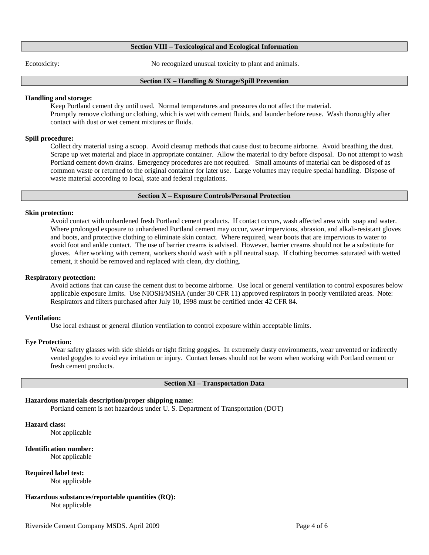# **Section VIII – Toxicological and Ecological Information**

Ecotoxicity: No recognized unusual toxicity to plant and animals.

## **Section IX – Handling & Storage/Spill Prevention**

## **Handling and storage:**

Keep Portland cement dry until used. Normal temperatures and pressures do not affect the material. Promptly remove clothing or clothing, which is wet with cement fluids, and launder before reuse. Wash thoroughly after contact with dust or wet cement mixtures or fluids.

## **Spill procedure:**

 Collect dry material using a scoop. Avoid cleanup methods that cause dust to become airborne. Avoid breathing the dust. Scrape up wet material and place in appropriate container. Allow the material to dry before disposal. Do not attempt to wash Portland cement down drains. Emergency procedures are not required. Small amounts of material can be disposed of as common waste or returned to the original container for later use. Large volumes may require special handling. Dispose of waste material according to local, state and federal regulations.

## **Section X – Exposure Controls/Personal Protection**

## **Skin protection:**

 Avoid contact with unhardened fresh Portland cement products. If contact occurs, wash affected area with soap and water. Where prolonged exposure to unhardened Portland cement may occur, wear impervious, abrasion, and alkali-resistant gloves and boots, and protective clothing to eliminate skin contact. Where required, wear boots that are impervious to water to avoid foot and ankle contact. The use of barrier creams is advised. However, barrier creams should not be a substitute for gloves. After working with cement, workers should wash with a pH neutral soap. If clothing becomes saturated with wetted cement, it should be removed and replaced with clean, dry clothing.

#### **Respiratory protection:**

 Avoid actions that can cause the cement dust to become airborne. Use local or general ventilation to control exposures below applicable exposure limits. Use NIOSH/MSHA (under 30 CFR 11) approved respirators in poorly ventilated areas. Note: Respirators and filters purchased after July 10, 1998 must be certified under 42 CFR 84.

## **Ventilation:**

Use local exhaust or general dilution ventilation to control exposure within acceptable limits.

## **Eye Protection:**

Wear safety glasses with side shields or tight fitting goggles. In extremely dusty environments, wear unvented or indirectly vented goggles to avoid eye irritation or injury. Contact lenses should not be worn when working with Portland cement or fresh cement products.

#### **Section XI – Transportation Data**

## **Hazardous materials description/proper shipping name:**

Portland cement is not hazardous under U. S. Department of Transportation (DOT)

# **Hazard class:**

Not applicable

## **Identification number:**

Not applicable

## **Required label test:**

Not applicable

# **Hazardous substances/reportable quantities (RQ):**

Not applicable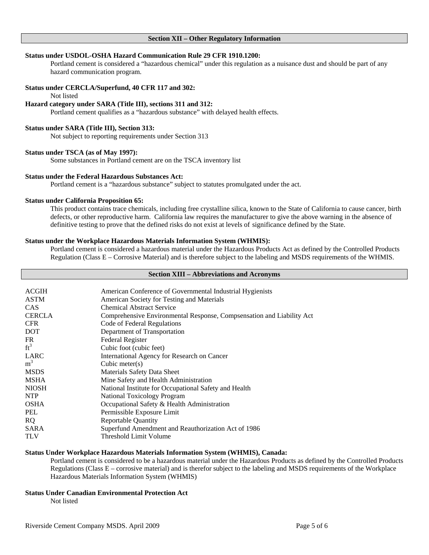## **Section XII – Other Regulatory Information**

## **Status under USDOL-OSHA Hazard Communication Rule 29 CFR 1910.1200:**

 Portland cement is considered a "hazardous chemical" under this regulation as a nuisance dust and should be part of any hazard communication program.

## **Status under CERCLA/Superfund, 40 CFR 117 and 302:**

Not listed

# **Hazard category under SARA (Title III), sections 311 and 312:**

Portland cement qualifies as a "hazardous substance" with delayed health effects.

## **Status under SARA (Title III), Section 313:**

Not subject to reporting requirements under Section 313

#### **Status under TSCA (as of May 1997):**

Some substances in Portland cement are on the TSCA inventory list

# **Status under the Federal Hazardous Substances Act:**

Portland cement is a "hazardous substance" subject to statutes promulgated under the act.

## **Status under California Proposition 65:**

 This product contains trace chemicals, including free crystalline silica, known to the State of California to cause cancer, birth defects, or other reproductive harm. California law requires the manufacturer to give the above warning in the absence of definitive testing to prove that the defined risks do not exist at levels of significance defined by the State.

#### **Status under the Workplace Hazardous Materials Information System (WHMIS):**

 Portland cement is considered a hazardous material under the Hazardous Products Act as defined by the Controlled Products Regulation (Class E – Corrosive Material) and is therefore subject to the labeling and MSDS requirements of the WHMIS.

# **Section XIII – Abbreviations and Acronyms**

| American Conference of Governmental Industrial Hygienists             |
|-----------------------------------------------------------------------|
| American Society for Testing and Materials                            |
| <b>Chemical Abstract Service</b>                                      |
| Comprehensive Environmental Response, Compsensation and Liability Act |
| Code of Federal Regulations                                           |
| Department of Transportation                                          |
| Federal Register                                                      |
| Cubic foot (cubic feet)                                               |
| International Agency for Research on Cancer                           |
| Cubic meter $(s)$                                                     |
| Materials Safety Data Sheet                                           |
| Mine Safety and Health Administration                                 |
| National Institute for Occupational Safety and Health                 |
| <b>National Toxicology Program</b>                                    |
| Occupational Safety & Health Administration                           |
| Permissible Exposure Limit                                            |
| <b>Reportable Quantity</b>                                            |
| Superfund Amendment and Reauthorization Act of 1986                   |
| Threshold Limit Volume                                                |
|                                                                       |

# **Status Under Workplace Hazardous Materials Information System (WHMIS), Canada:**

 Portland cement is considered to be a hazardous material under the Hazardous Products as defined by the Controlled Products Regulations (Class E – corrosive material) and is therefor subject to the labeling and MSDS requirements of the Workplace Hazardous Materials Information System (WHMIS)

# **Status Under Canadian Environmental Protection Act**

Not listed